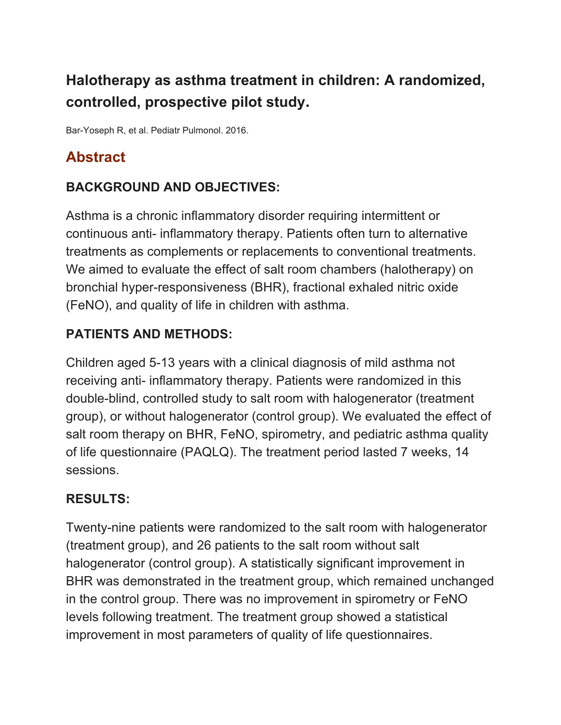# **Halotherapy as asthma treatment in children: A randomized, controlled, prospective pilot study.**

Bar-Yoseph R, et al. Pediatr Pulmonol. 2016.

# **Abstract**

## **BACKGROUND AND OBJECTIVES:**

Asthma is a chronic inflammatory disorder requiring intermittent or continuous anti- inflammatory therapy. Patients often turn to alternative treatments as complements or replacements to conventional treatments. We aimed to evaluate the effect of salt room chambers (halotherapy) on bronchial hyper-responsiveness (BHR), fractional exhaled nitric oxide (FeNO), and quality of life in children with asthma.

### **PATIENTS AND METHODS:**

Children aged 5-13 years with a clinical diagnosis of mild asthma not receiving anti- inflammatory therapy. Patients were randomized in this double-blind, controlled study to salt room with halogenerator (treatment group), or without halogenerator (control group). We evaluated the effect of salt room therapy on BHR, FeNO, spirometry, and pediatric asthma quality of life questionnaire (PAQLQ). The treatment period lasted 7 weeks, 14 sessions.

#### **RESULTS:**

Twenty-nine patients were randomized to the salt room with halogenerator (treatment group), and 26 patients to the salt room without salt halogenerator (control group). A statistically significant improvement in BHR was demonstrated in the treatment group, which remained unchanged in the control group. There was no improvement in spirometry or FeNO levels following treatment. The treatment group showed a statistical improvement in most parameters of quality of life questionnaires.